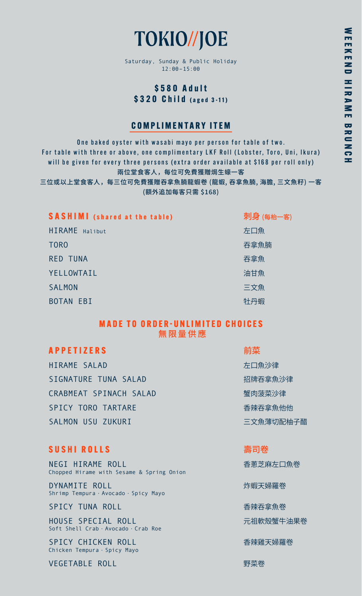# TOKIO//JOE

Saturday, Sunday & Public Holiday 12:00–15:00

# **\$580 Adult \$320 Child (aged 3-11)**

# **COMPLIMENTARY ITEM**

One baked oyster with wasabi mayo per person for table of two. For table with three or above, one complimentary LKF Roll (Lobster, Toro, Uni, Ikura) will be given for every three persons (extra order available at \$168 per roll only) 兩位堂食客人,每位可免費獲贈焗生蠔一客

三位或以上堂食客人,每三位可免費獲贈吞拿魚腩龍蝦卷 (龍蝦, 吞拿魚腩, 海膽, 三文魚籽) 一客 (額外追加每客只需 \$168)

| <b>SASHIMI</b> (shared at the table) | 刺身 (每枱一客) |
|--------------------------------------|-----------|
| HIRAME Halibut                       | 左口魚       |
| T <sub>ORO</sub>                     | 吞拿魚腩      |
| <b>RED TUNA</b>                      | 吞拿魚       |
| YELLOWTAIL                           | 油甘魚       |
| <b>SALMON</b>                        | 三文魚       |
| <b>BOTAN EBI</b>                     | 牡丹蝦       |

## **MADE TO ORDER-UNLIMITED CHOICES** 無限量供應

# **APPETIZERS** 前菜

HIRAME SALAD 左口魚沙律 SIGNATURE TUNA SALAD 招牌呑拿魚沙律 CRABMEAT SPINACH SALAD <br>
■ 電肉菠菜沙律 SPICY TORO TARTARE **the contract of the contract of the contract of the contract of the contract of the contract of the contract of the contract of the contract of the contract of the contract of the contract of the contr** SALMON USU ZUKURI 三文魚薄切配柚子醋

# **SUSHI ROLLS** 壽司卷

NEGI HIRAME ROLL **NEGI HIRAME ROLL** Chopped Hirame with Sesame & Spring Onion

DYNAMITE ROLL また、 または はっぽん かいしゃ しょうかん しょうしょう かいしょう かいしょう かいしょう かいしょう しょうしょう Shrimp Tempura · Avocado · Spicy Mayo

SPICY TUNA ROLL **the contract of the contract of the contract of the contract of the contract of the contract of the contract of the contract of the contract of the contract of the contract of the contract of the contract** 

HOUSE SPECIAL ROLL インファイン おおとこ 元祖軟殼蟹牛油果卷 Soft Shell Crab · Avocado · Crab Roe

SPICY CHICKEN ROLL 香辣雞天婦羅卷 Chicken Tempura · Spicy Mayo

VEGETABLE ROLL NEWSTAPH TO DESCRIPTION TO THE TOP THAT THE TOP THAT THE TOP THAT THE TOP THAT THE TOP THAT THE